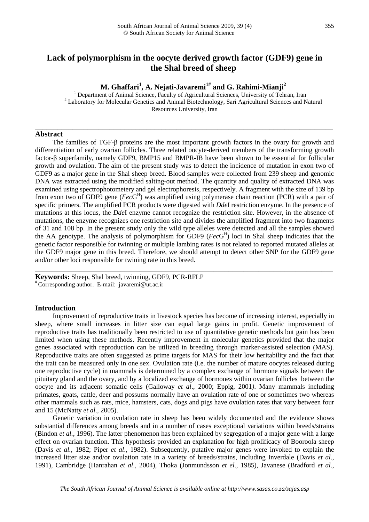# **Lack of polymorphism in the oocyte derived growth factor (GDF9) gene in the Shal breed of sheep**

\_\_\_\_\_\_\_\_\_\_\_\_\_\_\_\_\_\_\_\_\_\_\_\_\_\_\_\_\_\_\_\_\_\_\_\_\_\_\_\_\_\_\_\_\_\_\_\_\_\_\_\_\_\_\_\_\_\_\_\_\_\_\_\_\_\_\_\_\_\_\_\_\_\_\_\_\_\_\_\_

**M. Ghaffari<sup>1</sup> , A. Nejati-Javaremi1# and G. Rahimi-Mianji<sup>2</sup>**

<sup>1</sup> Department of Animal Science, Faculty of Agricultural Sciences, University of Tehran, Iran  $2$  Laboratory for Molecular Genetics and Animal Biotechnology, Sari Agricultural Sciences and Natural Resources University, Iran

#### **Abstract**

The families of TGF-β proteins are the most important growth factors in the ovary for growth and differentiation of early ovarian follicles. Three related oocyte-derived members of the transforming growth factor-β superfamily, namely GDF9, BMP15 and BMPR-IB have been shown to be essential for follicular growth and ovulation. The aim of the present study was to detect the incidence of mutation in exon two of GDF9 as a major gene in the Shal sheep breed. Blood samples were collected from 239 sheep and genomic DNA was extracted using the modified salting-out method. The quantity and quality of extracted DNA was examined using spectrophotometery and gel electrophoresis, respectively. A fragment with the size of 139 bp from exon two of GDF9 gene (*Fec*G H ) was amplified using polymerase chain reaction (PCR) with a pair of specific primers. The amplified PCR products were digested with *Dde*I restriction enzyme. In the presence of mutations at this locus, the *Dde*I enzyme cannot recognize the restriction site. However, in the absence of mutations, the enzyme recognizes one restriction site and divides the amplified fragment into two fragments of 31 and 108 bp. In the present study only the wild type alleles were detected and all the samples showed the AA genotype. The analysis of polymorphism for GDF9 (*Fec*G H ) loci in Shal sheep indicates that the genetic factor responsible for twinning or multiple lambing rates is not related to reported mutated alleles at the GDF9 major gene in this breed. Therefore, we should attempt to detect other SNP for the GDF9 gene and/or other loci responsible for twining rate in this breed.

\_\_\_\_\_\_\_\_\_\_\_\_\_\_\_\_\_\_\_\_\_\_\_\_\_\_\_\_\_\_\_\_\_\_\_\_\_\_\_\_\_\_\_\_\_\_\_\_\_\_\_\_\_\_\_\_\_\_\_\_\_\_\_\_\_\_\_\_\_\_\_\_\_\_\_\_\_\_\_\_

**Keywords:** Sheep, Shal breed, twinning, GDF9, PCR-RFLP # Corresponding author. E-mail: javaremi@ut.ac.ir

## **Introduction**

Improvement of reproductive traits in livestock species has become of increasing interest, especially in sheep, where small increases in litter size can equal large gains in profit. Genetic improvement of reproductive traits has traditionally been restricted to use of quantitative genetic methods but gain has been limited when using these methods. Recently improvement in molecular genetics provided that the major genes associated with reproduction can be utilized in breeding through marker-assisted selection (MAS). Reproductive traits are often suggested as prime targets for MAS for their low heritability and the fact that the trait can be measured only in one sex. Ovulation rate (i.e. the number of mature oocytes released during one reproductive cycle) in mammals is determined by a complex exchange of hormone signals between the pituitary gland and the ovary, and by a localized exchange of hormones within ovarian follicles between the oocyte and its adjacent somatic cells (Galloway *et al*., 2000; Eppig, 2001*)*. Many mammals including primates, goats, cattle, deer and possums normally have an ovulation rate of one or sometimes two whereas other mammals such as rats, mice, hamsters, cats, dogs and pigs have ovulation rates that vary between four and 15 (McNatty *et al*., 2005).

Genetic variation in ovulation rate in sheep has been widely documented and the evidence shows substantial differences among breeds and in a number of cases exceptional variations within breeds/strains (Bindon *et al.*, 1996). The latter phenomenon has been explained by segregation of a major gene with a large effect on ovarian function. This hypothesis provided an explanation for high prolificacy of Booroola sheep (Davis *et al.*, 1982; Piper *et al*., 1982). Subsequently, putative major genes were invoked to explain the increased litter size and/or ovulation rate in a variety of breeds/strains, including Inverdale (Davis *et al*., 1991), Cambridge (Hanrahan *et al*.*,* 2004), Thoka (Jonmundsson *et el*., 1985), Javanese (Bradford *et al*.,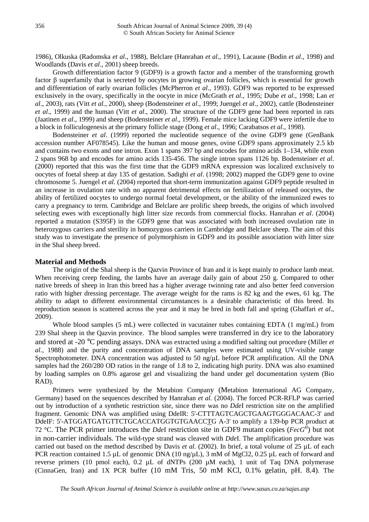1986), Olkuska (Radomska *et al*., 1988), Belclare (Hanrahan *et al*., 1991), Lacaune (Bodin *et al*., 1998) and Woodlands (Davis *et al*., 2001) sheep breeds.

Growth differentiation factor 9 (GDF9) is a growth factor and a member of the transforming growth factor β superfamily that is secreted by oocytes in growing ovarian follicles, which is essential for growth and differentiation of early ovarian follicles (McPherron *et al*., 1993). GDF9 was reported to be expressed exclusively in the ovary, specifically in the oocyte in mice (McGrath *et al*., 1995; Dube *et al*., 1998; Lan *et al*., 2003), rats (Vitt *et al.*, 2000), sheep (Bodensteiner *et al*., 1999; Juengel *et al.*, 2002), cattle (Bodensteiner *et al*., 1999) and the human (Vitt *et al*., 2000). The structure of the GDF9 gene had been reported in rats (Jaatinen *et al*., 1999) and sheep (Bodensteiner *et al*., 1999). Female mice lacking GDF9 were infertile due to a block in folliculogenesis at the primary follicle stage (Dong *et al*., 1996; Carabatsos *et al*., 1998).

Bodensteiner *et al*. (1999) reported the nucleotide sequence of the ovine GDF9 gene (GenBank accession number AF078545). Like the human and mouse genes, ovine GDF9 spans approximately 2.5 kb and contains two exons and one intron. Exon 1 spans 397 bp and encodes for amino acids 1–134, while exon 2 spans 968 bp and encodes for amino acids 135-456. The single intron spans 1126 bp. Bodensteiner *et al*. (2000) reported that this was the first time that the GDF9 mRNA expression was localized exclusively to oocytes of foetal sheep at day 135 of gestation. Sadighi *et al*. (1998; 2002) mapped the GDF9 gene to ovine chromosome 5. Juengel *et al*. (2004) reported that short-term immunization against GDF9 peptide resulted in an increase in ovulation rate with no apparent detrimental effects on fertilization of released oocytes, the ability of fertilized oocytes to undergo normal foetal development, or the ability of the immunized ewes to carry a pregnancy to term. Cambridge and Belclare are prolific sheep breeds, the origins of which involved selecting ewes with exceptionally high litter size records from commercial flocks. Hanrahan *et al*. (2004) reported a mutation (S395F) in the GDF9 gene that was associated with both increased ovulation rate in heterozygous carriers and sterility in homozygous carriers in Cambridge and Belclare sheep. The aim of this study was to investigate the presence of polymorphism in GDF9 and its possible association with litter size in the Shal sheep breed.

# **Material and Methods**

The origin of the Shal sheep is the Qazvin Province of Iran and it is kept mainly to produce lamb meat. When receiving creep feeding, the lambs have an average daily gain of about 250 g. Compared to other native breeds of sheep in Iran this breed has a higher average twinning rate and also better feed conversion ratio with higher dressing percentage. The average weight for the rams is 82 kg and the ewes, 61 kg. The ability to adapt to different environmental circumstances is a desirable characteristic of this breed. Its reproduction season is scattered across the year and it may be bred in both fall and spring (Ghaffari *et al*., 2009).

Whole blood samples (5 mL) were collected in vacutainer tubes containing EDTA (1 mg/mL) from 239 Shal sheep in the Qazvin province. The blood samples were transferred in dry ice to the laboratory and stored at -20 °C pending assays. DNA was extracted using a modified salting out procedure (Miller *et al.*, 1988) and the purity and concentration of DNA samples were estimated using UV-visible range Spectrophotometer. DNA concentration was adjusted to 50 ng/ $\mu$ L before PCR amplification. All the DNA samples had the 260/280 OD ratios in the range of 1.8 to 2, indicating high purity. DNA was also examined by loading samples on 0.8% agarose gel and visualizing the band under gel documentation system (Bio RAD).

Primers were synthesized by the Metabion Company (Metabion International AG Company, Germany) based on the sequences described by Hanrahan *et al.* (2004). The forced PCR-RFLP was carried out by introduction of a synthetic restriction site, since there was no *Dde*I restriction site on the amplified fragment. Genomic DNA was amplified using DdeIR: 5'-CTTTAGTCAGCTGAAGTGGGACAAC-3' and DdeIF: 5'-ATGGATGATGTTCTGCACCATGGTGTGAACCTG A-3' to amplify a 139-bp PCR product at 72 °C. The PCR primer introduces the *Dde*I restriction site in GDF9 mutant copies (*FecG<sup>H</sup>* ) but not in non-carrier individuals. The wild-type strand was cleaved with *Dde*I. The amplification procedure was carried out based on the method described by Davis *et al.* (2002). In brief, a total volume of 25 µL of each PCR reaction contained 1.5 µL of genomic DNA (10 ng/µL), 3 mM of MgCl2, 0.25 µL each of forward and reverse primers (10 pmol each), 0.2 µL of dNTPs (200 µM each), 1 unit of Taq DNA polymerase (CinnaGen, Iran) and 1X PCR buffer (10 mM Tris, 50 mM KCl, 0.1% gelatin, pH. 8.4). The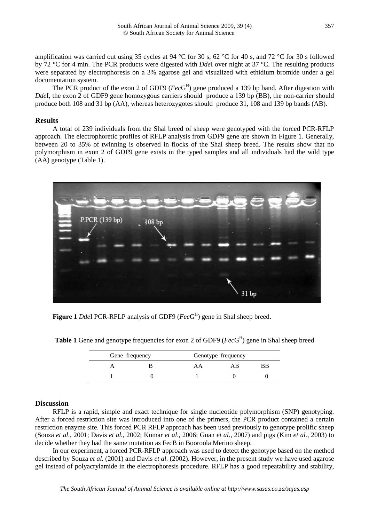amplification was carried out using 35 cycles at 94 °C for 30 s, 62 °C for 40 s, and 72 °C for 30 s followed by 72 °C for 4 min. The PCR products were digested with *Dde*I over night at 37 °C. The resulting products were separated by electrophoresis on a 3% agarose gel and visualized with ethidium bromide under a gel documentation system.

The PCR product of the exon 2 of GDF9 (*Fec*G H ) gene produced a 139 bp band. After digestion with *DdeI*, the exon 2 of GDF9 gene homozygous carriers should produce a 139 bp (BB), the non-carrier should produce both 108 and 31 bp (AA), whereas heterozygotes should produce 31, 108 and 139 bp bands (AB).

# **Results**

A total of 239 individuals from the Shal breed of sheep were genotyped with the forced PCR-RFLP approach. The electrophoretic profiles of RFLP analysis from GDF9 gene are shown in Figure 1. Generally, between 20 to 35% of twinning is observed in flocks of the Shal sheep breed. The results show that no polymorphism in exon 2 of GDF9 gene exists in the typed samples and all individuals had the wild type (AA) genotype (Table 1).



**Figure 1** *Dde*I PCR-RFLP analysis of GDF9 (*Fec*G H ) gene in Shal sheep breed.

| Gene frequency |  | Genotype frequency |  |  |
|----------------|--|--------------------|--|--|
|                |  |                    |  |  |
|                |  |                    |  |  |

Table 1 Gene and genotype frequencies for exon 2 of GDF9 (*Fec*G<sup>H</sup>) gene in Shal sheep breed

#### **Discussion**

RFLP is a rapid, simple and exact technique for single nucleotide polymorphism (SNP) genotyping. After a forced restriction site was introduced into one of the primers, the PCR product contained a certain restriction enzyme site. This forced PCR RFLP approach has been used previously to genotype prolific sheep (Souza *et al.*, 2001; Davis *et al.*, 2002; Kumar *et al*., 2006; Guan *et al*., 2007) and pigs (Kim *et al.*, 2003) to decide whether they had the same mutation as FecB in Booroola Merino sheep.

In our experiment, a forced PCR-RFLP approach was used to detect the genotype based on the method described by Souza *et al.* (2001) and Davis *et al.* (2002). However, in the present study we have used agarose gel instead of polyacrylamide in the electrophoresis procedure. RFLP has a good repeatability and stability,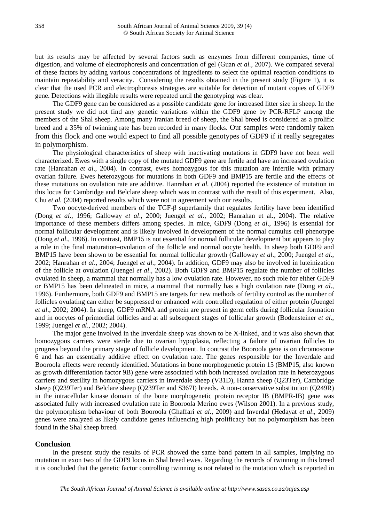but its results may be affected by several factors such as enzymes from different companies, time of digestion, and volume of electrophoresis and concentration of gel (Guan *et al.*, 2007). We compared several of these factors by adding various concentrations of ingredients to select the optimal reaction conditions to maintain repeatability and veracity. Considering the results obtained in the present study (Figure 1), it is clear that the used PCR and electrophoresis strategies are suitable for detection of mutant copies of GDF9 gene. Detections with illegible results were repeated until the genotyping was clear.

The GDF9 gene can be considered as a possible candidate gene for increased litter size in sheep. In the present study we did not find any genetic variations within the GDF9 gene by PCR-RFLP among the members of the Shal sheep. Among many Iranian breed of sheep, the Shal breed is considered as a prolific breed and a 35% of twinning rate has been recorded in many flocks. Our samples were randomly taken from this flock and one would expect to find all possible genotypes of GDF9 if it really segregates in polymorphism.

The physiological characteristics of sheep with inactivating mutations in GDF9 have not been well characterized. Ewes with a single copy of the mutated GDF9 gene are fertile and have an increased ovulation rate (Hanrahan *et al*., 2004). In contrast, ewes homozygous for this mutation are infertile with primary ovarian failure. Ewes heterozygous for mutations in both GDF9 and BMP15 are fertile and the effects of these mutations on ovulation rate are additive. Hanrahan *et al.* (2004) reported the existence of mutation in this locus for Cambridge and Belclare sheep which was in contrast with the result of this experiment. Also, Chu *et al.* (2004) reported results which were not in agreement with our results.

Two oocyte-derived members of the TGF-β superfamily that regulates fertility have been identified (Dong *et al*., 1996; Galloway *et al*., 2000; Juengel *et al*., 2002; Hanrahan et al., 2004). The relative importance of these members differs among species. In mice, GDF9 (Dong *et al*., 1996) is essential for normal follicular development and is likely involved in development of the normal cumulus cell phenotype (Dong *et al*., 1996). In contrast, BMP15 is not essential for normal follicular development but appears to play a role in the final maturation–ovulation of the follicle and normal oocyte health. In sheep both GDF9 and BMP15 have been shown to be essential for normal follicular growth (Galloway *et al*., 2000; Juengel *et al*., 2002; Hanrahan *et al*., 2004; Juengel *et al.*, 2004). In addition, GDF9 may also be involved in luteinization of the follicle at ovulation (Juengel *et al*., 2002). Both GDF9 and BMP15 regulate the number of follicles ovulated in sheep, a mammal that normally has a low ovulation rate. However, no such role for either GDF9 or BMP15 has been delineated in mice, a mammal that normally has a high ovulation rate (Dong *et al*., 1996). Furthermore, both GDF9 and BMP15 are targets for new methods of fertility control as the number of follicles ovulating can either be suppressed or enhanced with controlled regulation of either protein (Juengel *et al*., 2002; 2004). In sheep, GDF9 mRNA and protein are present in germ cells during follicular formation and in oocytes of primordial follicles and at all subsequent stages of follicular growth (Bodensteiner *et al*., 1999; Juengel *et al*., 2002; 2004).

The major gene involved in the Inverdale sheep was shown to be X-linked, and it was also shown that homozygous carriers were sterile due to ovarian hypoplasia, reflecting a failure of ovarian follicles to progress beyond the primary stage of follicle development. In contrast the Booroola gene is on chromosome 6 and has an essentially additive effect on ovulation rate. The genes responsible for the Inverdale and Booroola effects were recently identified. Mutations in bone morphogenetic protein 15 (BMP15, also known as growth differentiation factor 9B) gene were associated with both increased ovulation rate in heterozygous carriers and sterility in homozygous carriers in Inverdale sheep (V31D), Hanna sheep (Q23Ter), Cambridge sheep (Q239Ter) and Belclare sheep (Q239Ter and S367I) breeds. A non-conservative substitution (Q249R) in the intracellular kinase domain of the bone morphogenetic protein receptor IB (BMPR-IB) gene was associated fully with increased ovulation rate in Booroola Merino ewes (Wilson 2001). In a previous study, the polymorphism behaviour of both Booroola (Ghaffari *et al*., 2009) and Inverdal (Hedayat *et al*., 2009) genes were analyzed as likely candidate genes influencing high prolificacy but no polymorphism has been found in the Shal sheep breed.

### **Conclusion**

In the present study the results of PCR showed the same band pattern in all samples, implying no mutation in exon two of the GDF9 locus in Shal breed ewes. Regarding the records of twinning in this breed it is concluded that the genetic factor controlling twinning is not related to the mutation which is reported in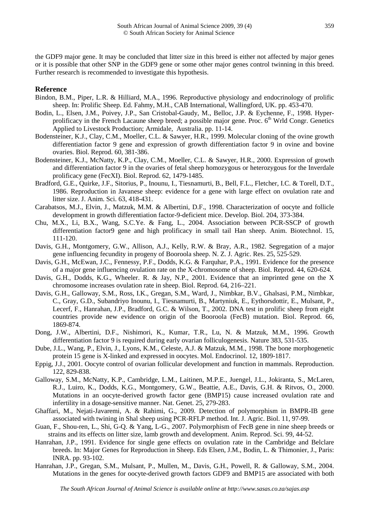the GDF9 major gene. It may be concluded that litter size in this breed is either not affected by major genes or it is possible that other SNP in the GDF9 gene or some other major genes control twinning in this breed. Further research is recommended to investigate this hypothesis.

### **Reference**

- Bindon, B.M., Piper, L.R. & Hilliard, M.A., 1996. Reproductive physiology and endocrinology of prolific sheep. In: Prolific Sheep. Ed. Fahmy, M.H., CAB International, Wallingford, UK. pp. 453-470.
- Bodin, L., Elsen, J.M., Poivey, J.P., San Cristobal-Gaudy, M., Belloc, J.P. & Eychenne, F., 1998. Hyperprolificacy in the French Lacaune sheep breed; a possible major gene. Proc. 6<sup>th</sup> Wrld Congr. Genetics Applied to Livestock Production; Armidale, Australia. pp. 11-14.
- Bodensteiner, K.J., Clay, C.M., Moeller, C.L. & Sawyer, H.R., 1999. Molecular cloning of the ovine growth differentiation factor 9 gene and expression of growth differentiation factor 9 in ovine and bovine ovaries. Biol. Reprod. 60, 381-386.
- Bodensteiner, K.J., McNatty, K.P., Clay, C.M., Moeller, C.L. & Sawyer, H.R., 2000. Expression of growth and differentiation factor 9 in the ovaries of fetal sheep homozygous or heterozygous for the Inverdale prolificacy gene (FecXI). Biol. Reprod. 62, 1479-1485.
- Bradford, G.E., Quirke, J.F., Sitorius, P., Inounu, I., Tiesnamurti, B., Bell, F.L., Fletcher, I.C. & Torell, D.T., 1986. Reproduction in Javanese sheep: evidence for a gene with large effect on ovulation rate and litter size. J. Anim. Sci. 63, 418-431.
- Carabatsos, M.J., Elvin, J., Matzuk, M.M. & Albertini, D.F., 1998. Characterization of oocyte and follicle development in growth differentiation factor-9-deficient mice. Develop. Biol. 204, 373-384.
- Chu, M.X., Li, B.X., Wang, S.C.Ye. & Fang, L., 2004. Association between PCR-SSCP of growth differentiation factor9 gene and high prolificacy in small tail Han sheep. Anim. Biotechnol. 15, 111-120.
- Davis, G.H., Montgomery, G.W., Allison, A.J., Kelly, R.W. & Bray, A.R., 1982. Segregation of a major gene influencing fecundity in progeny of Booroola sheep. N. Z. J. Agric. Res. 25, 525-529.
- Davis, G.H., McEwan, J.C., Fennessy, P.F., Dodds, K.G. & Farquhar, P.A., 1991. Evidence for the presence of a major gene influencing ovulation rate on the X-chromosome of sheep. Biol. Reprod. 44, 620-624.
- Davis, G.H., Dodds, K.G., Wheeler. R. & Jay, N.P., 2001. Evidence that an imprinted gene on the X chromosome increases ovulation rate in sheep. Biol. Reprod. 64, 216–221.
- Davis, G.H., Galloway, S.M., Ross, I.K., Gregan, S.M., Ward, J., Nimbkar, B.V., Ghalsasi, P.M., Nimbkar, C., Gray, G.D., Subandriyo Inounu, I., Tiesnamurti, B., Martyniuk, E., Eythorsdottir, E., Mulsant, P., Lecerf, F., Hanrahan, J.P., Bradford, G.C. & Wilson, T., 2002. DNA test in prolific sheep from eight countries provide new evidence on origin of the Booroola (FecB) mutation. Biol. Reprod. 66, 1869-874.
- Dong, J.W., Albertini, D.F., Nishimori, K., Kumar, T.R., Lu, N. & Matzuk, M.M., 1996. Growth differentiation factor 9 is required during early ovarian folliculogenesis. Nature 383, 531-535.
- Dube, J.L., Wang, P., Elvin, J., Lyons, K.M., Celeste, A.J. & Matzuk, M.M., 1998. The bone morphogenetic protein 15 gene is X-linked and expressed in oocytes. Mol. Endocrinol. 12, 1809-1817.
- Eppig, J.J., 2001. Oocyte control of ovarian follicular development and function in mammals. Reproduction. 122, 829-838.
- Galloway, S.M., McNatty, K.P., Cambridge, L.M., Laitinen, M.P.E., Juengel, J.L., Jokiranta, S., McLaren, R.J., Luiro, K., Dodds, K.G., Montgomery, G.W., Beattie, A.E., Davis, G.H. & Ritvos, O., 2000. Mutations in an oocyte-derived growth factor gene (BMP15) cause increased ovulation rate and infertility in a dosage-sensitive manner. Nat. Genet. 25, 279-283.
- Ghaffari, M., Nejati-Javaremi, A. & Rahimi, G., 2009. Detection of polymorphism in BMPR-IB gene associated with twining in Shal sheep using PCR-RFLP method. Int. J. Agric. Biol. 11, 97-99.
- Guan, F., Shou-ren, L., Shi, G-Q. & Yang, L-G., 2007. Polymorphism of FecB gene in nine sheep breeds or strains and its effects on litter size, lamb growth and development. Anim. Reprod. Sci. 99, 44-52.
- Hanrahan, J.P., 1991. Evidence for single gene effects on ovulation rate in the Cambridge and Belclare breeds. In: Major Genes for Reproduction in Sheep. Eds Elsen, J.M., Bodin, L. & Thimonier, J., Paris: INRA. pp. 93-102.
- Hanrahan, J.P., Gregan, S.M., Mulsant, P., Mullen, M., Davis, G.H., Powell, R. & Galloway, S.M., 2004. Mutations in the genes for oocyte-derived growth factors GDF9 and BMP15 are associated with both